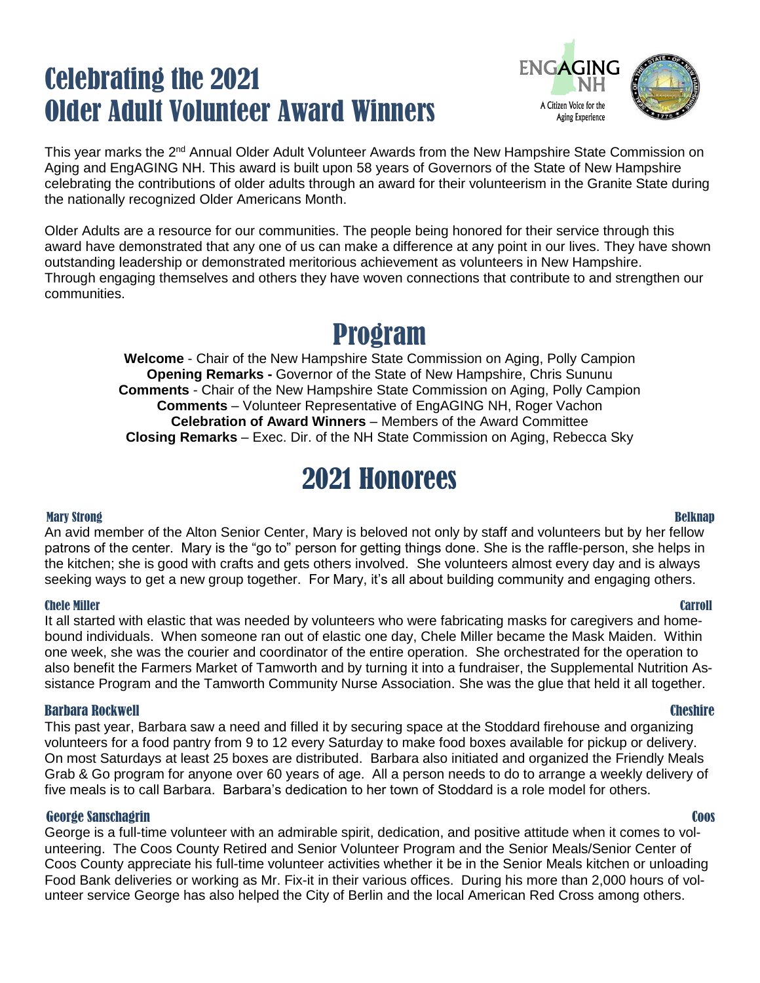# Celebrating the 2021 Older Adult Volunteer Award Winners



This year marks the 2<sup>nd</sup> Annual Older Adult Volunteer Awards from the New Hampshire State Commission on Aging and EngAGING NH. This award is built upon 58 years of Governors of the State of New Hampshire celebrating the contributions of older adults through an award for their volunteerism in the Granite State during the nationally recognized Older Americans Month.

Older Adults are a resource for our communities. The people being honored for their service through this award have demonstrated that any one of us can make a difference at any point in our lives. They have shown outstanding leadership or demonstrated meritorious achievement as volunteers in New Hampshire. Through engaging themselves and others they have woven connections that contribute to and strengthen our communities.

# Program

**Welcome** - Chair of the New Hampshire State Commission on Aging, Polly Campion **Opening Remarks -** Governor of the State of New Hampshire, Chris Sununu **Comments** - Chair of the New Hampshire State Commission on Aging, Polly Campion **Comments** – Volunteer Representative of EngAGING NH, Roger Vachon **Celebration of Award Winners** – Members of the Award Committee **Closing Remarks** – Exec. Dir. of the NH State Commission on Aging, Rebecca Sky

# 2021 Honorees

### Mary Strong Belknap An avid member of the Alton Senior Center, Mary is beloved not only by staff and volunteers but by her fellow patrons of the center. Mary is the "go to" person for getting things done. She is the raffle-person, she helps in the kitchen; she is good with crafts and gets others involved. She volunteers almost every day and is always seeking ways to get a new group together. For Mary, it's all about building community and engaging others.

# Chele Miller Carroll

It all started with elastic that was needed by volunteers who were fabricating masks for caregivers and homebound individuals. When someone ran out of elastic one day, Chele Miller became the Mask Maiden. Within one week, she was the courier and coordinator of the entire operation. She orchestrated for the operation to also benefit the Farmers Market of Tamworth and by turning it into a fundraiser, the Supplemental Nutrition Assistance Program and the Tamworth Community Nurse Association. She was the glue that held it all together.

# Barbara Rockwell Cheshire

This past year, Barbara saw a need and filled it by securing space at the Stoddard firehouse and organizing volunteers for a food pantry from 9 to 12 every Saturday to make food boxes available for pickup or delivery. On most Saturdays at least 25 boxes are distributed. Barbara also initiated and organized the Friendly Meals Grab & Go program for anyone over 60 years of age. All a person needs to do to arrange a weekly delivery of five meals is to call Barbara. Barbara's dedication to her town of Stoddard is a role model for others.

# George Sanschagrin Coos

George is a full-time volunteer with an admirable spirit, dedication, and positive attitude when it comes to volunteering. The Coos County Retired and Senior Volunteer Program and the Senior Meals/Senior Center of Coos County appreciate his full-time volunteer activities whether it be in the Senior Meals kitchen or unloading Food Bank deliveries or working as Mr. Fix-it in their various offices. During his more than 2,000 hours of volunteer service George has also helped the City of Berlin and the local American Red Cross among others.